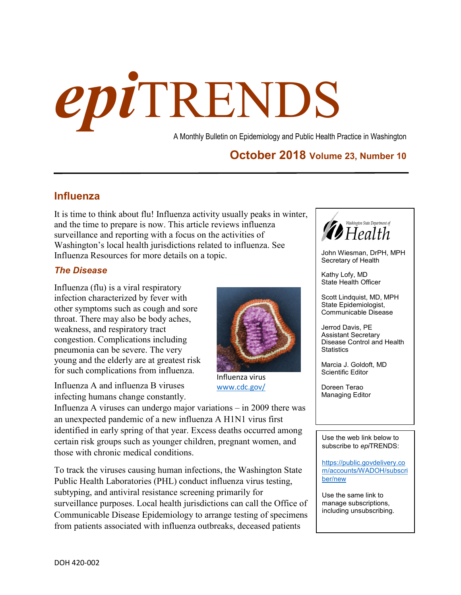# *epi*TRENDS

A Monthly Bulletin on Epidemiology and Public Health Practice in Washington

# **October 2018 Volume 23, Number 10**

# **Influenza**

It is time to think about flu! Influenza activity usually peaks in winter, and the time to prepare is now. This article reviews influenza surveillance and reporting with a focus on the activities of Washington's local health jurisdictions related to influenza. See Influenza Resources for more details on a topic.

#### *The Disease*

Influenza (flu) is a viral respiratory infection characterized by fever with other symptoms such as cough and sore throat. There may also be body aches, weakness, and respiratory tract congestion. Complications including pneumonia can be severe. The very young and the elderly are at greatest risk for such complications from influenza.

Influenza A and influenza B viruses infecting humans change constantly.



Influenza virus [www.cdc.gov/](https://www.cdc.gov/)

Influenza A viruses can undergo major variations – in 2009 there was an unexpected pandemic of a new influenza A H1N1 virus first identified in early spring of that year. Excess deaths occurred among certain risk groups such as younger children, pregnant women, and those with chronic medical conditions.

To track the viruses causing human infections, the Washington State Public Health Laboratories (PHL) conduct influenza virus testing, subtyping, and antiviral resistance screening primarily for surveillance purposes. Local health jurisdictions can call the Office of Communicable Disease Epidemiology to arrange testing of specimens from patients associated with influenza outbreaks, deceased patients



John Wiesman, DrPH, MPH Secretary of Health

Kathy Lofy, MD State Health Officer

Scott Lindquist, MD, MPH State Epidemiologist, Communicable Disease

Jerrod Davis, PE Assistant Secretary Disease Control and Health **Statistics** 

Marcia J. Goldoft, MD Scientific Editor

Doreen Terao Managing Editor

Use the web link below to subscribe to *epi*TRENDS:

[https://public.govdelivery.co](https://public.govdelivery.com/accounts/WADOH/subscriber/new) [m/accounts/WADOH/subscri](https://public.govdelivery.com/accounts/WADOH/subscriber/new) [ber/new](https://public.govdelivery.com/accounts/WADOH/subscriber/new)

Use the same link to manage subscriptions, including unsubscribing.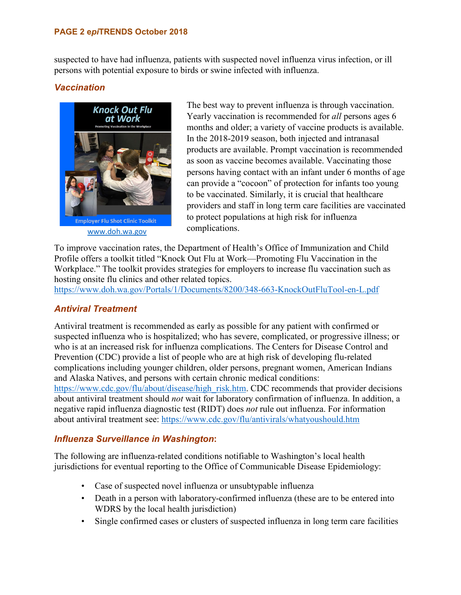#### **PAGE 2 e***pi***TRENDS October 2018**

suspected to have had influenza, patients with suspected novel influenza virus infection, or ill persons with potential exposure to birds or swine infected with influenza.

## *Vaccination*



The best way to prevent influenza is through vaccination. Yearly vaccination is recommended for *all* persons ages 6 months and older; a variety of vaccine products is available. In the 2018-2019 season, both injected and intranasal products are available. Prompt vaccination is recommended as soon as vaccine becomes available. Vaccinating those persons having contact with an infant under 6 months of age can provide a "cocoon" of protection for infants too young to be vaccinated. Similarly, it is crucial that healthcare providers and staff in long term care facilities are vaccinated to protect populations at high risk for influenza complications.

To improve vaccination rates, the Department of Health's Office of Immunization and Child Profile offers a toolkit titled "Knock Out Flu at Work—Promoting Flu Vaccination in the Workplace." The toolkit provides strategies for employers to increase flu vaccination such as hosting onsite flu clinics and other related topics.

<https://www.doh.wa.gov/Portals/1/Documents/8200/348-663-KnockOutFluTool-en-L.pdf>

# *Antiviral Treatment*

Antiviral treatment is recommended as early as possible for any patient with confirmed or suspected influenza who is hospitalized; who has severe, complicated, or progressive illness; or who is at an increased risk for influenza complications. The Centers for Disease Control and Prevention (CDC) provide a list of people who are at high risk of developing flu-related complications including younger children, older persons, pregnant women, American Indians and Alaska Natives, and persons with certain chronic medical conditions: [https://www.cdc.gov/flu/about/disease/high\\_risk.htm.](https://www.cdc.gov/flu/about/disease/high_risk.htm) CDC recommends that provider decisions about antiviral treatment should *not* wait for laboratory confirmation of influenza. In addition, a negative rapid influenza diagnostic test (RIDT) does *not* rule out influenza. For information about antiviral treatment see:<https://www.cdc.gov/flu/antivirals/whatyoushould.htm>

#### *Influenza Surveillance in Washington***:**

The following are influenza-related conditions notifiable to Washington's local health jurisdictions for eventual reporting to the Office of Communicable Disease Epidemiology:

- Case of suspected novel influenza or unsubtypable influenza
- Death in a person with laboratory-confirmed influenza (these are to be entered into WDRS by the local health jurisdiction)
- Single confirmed cases or clusters of suspected influenza in long term care facilities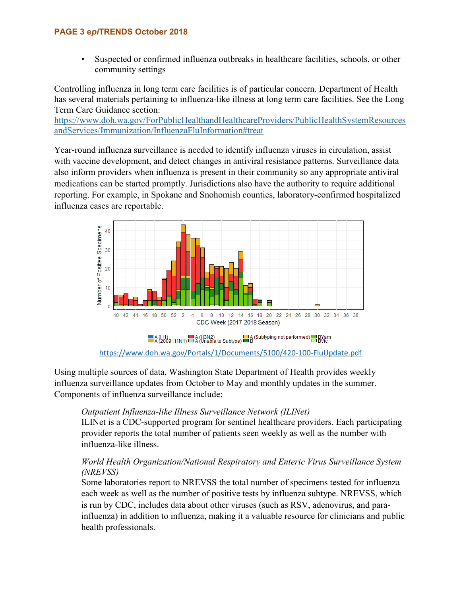#### **PAGE 3 e***pi***TRENDS October 2018**

• Suspected or confirmed influenza outbreaks in healthcare facilities, schools, or other community settings

Controlling influenza in long term care facilities is of particular concern. Department of Health has several materials pertaining to influenza-like illness at long term care facilities. See the Long Term Care Guidance section:

[https://www.doh.wa.gov/ForPublicHealthandHealthcareProviders/PublicHealthSystemResources](https://www.doh.wa.gov/ForPublicHealthandHealthcareProviders/PublicHealthSystemResourcesandServices/Immunization/InfluenzaFluInformation#treat) [andServices/Immunization/InfluenzaFluInformation#treat](https://www.doh.wa.gov/ForPublicHealthandHealthcareProviders/PublicHealthSystemResourcesandServices/Immunization/InfluenzaFluInformation#treat)

Year-round influenza surveillance is needed to identify influenza viruses in circulation, assist with vaccine development, and detect changes in antiviral resistance patterns. Surveillance data also inform providers when influenza is present in their community so any appropriate antiviral medications can be started promptly. Jurisdictions also have the authority to require additional reporting. For example, in Spokane and Snohomish counties, laboratory-confirmed hospitalized influenza cases are reportable.



Using multiple sources of data, Washington State Department of Health provides weekly influenza surveillance updates from October to May and monthly updates in the summer. Components of influenza surveillance include:

#### *Outpatient Influenza-like Illness Surveillance Network (ILINet)*

ILINet is a CDC-supported program for sentinel healthcare providers. Each participating provider reports the total number of patients seen weekly as well as the number with influenza-like illness.

### *World Health Organization/National Respiratory and Enteric Virus Surveillance System (NREVSS)*

Some laboratories report to NREVSS the total number of specimens tested for influenza each week as well as the number of positive tests by influenza subtype. NREVSS, which is run by CDC, includes data about other viruses (such as RSV, adenovirus, and parainfluenza) in addition to influenza, making it a valuable resource for clinicians and public health professionals.